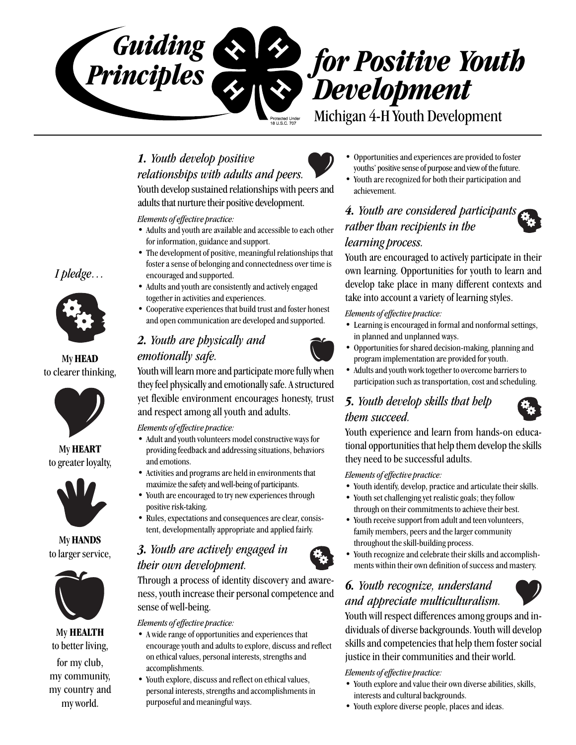

## *1. Youth develop positive relationships with adults and peers.*

Youth develop sustained relationships with peers and adults that nurture their positive development.

*Elements of effective practice:*

- Adults and youth are available and accessible to each other for information, guidance and support.
- The development of positive, meaningful relationships that foster a sense of belonging and connectedness over time is encouraged and supported.
- Adults and youth are consistently and actively engaged together in activities and experiences.
- Cooperative experiences that build trust and foster honest and open communication are developed and supported.

## *2. Youth are physically and*



*emotionally safe.*



• Learning is encouraged in formal and nonformal settings, in planned and unplanned ways. • Opportunities for shared decision-making, planning and

take into account a variety of learning styles.

program implementation are provided for youth. • Adults and youth work together to overcome barriers to participation such as transportation, cost and scheduling.

• Opportunities and experiences are provided to foster youths' positive sense of purpose and view of the future. • Youth are recognized for both their participation and

*4. Youth are considered participants*

Youth are encouraged to actively participate in their own learning. Opportunities for youth to learn and develop take place in many different contexts and

*rather than recipients in the*

achievement.

*learning process.*

*Elements of effective practice:*

### *5. Youth develop skills that help them succeed.*

Youth experience and learn from hands-on educational opportunities that help them develop the skills they need to be successful adults.

*Elements of effective practice:*

- Youth identify, develop, practice and articulate their skills.
- Youth set challenging yet realistic goals; they follow through on their commitments to achieve their best.
- Youth receive support from adult and teen volunteers, family members, peers and the larger community throughout the skill-building process.
- Youth recognize and celebrate their skills and accomplishments within their own definition of success and mastery.

## *6. Youth recognize, understand and appreciate multiculturalism.*



Youth will respect differences among groups and individuals of diverse backgrounds. Youth will develop skills and competencies that help them foster social justice in their communities and their world.

*Elements of effective practice:*

- Youth explore and value their own diverse abilities, skills, interests and cultural backgrounds.
- Youth explore diverse people, places and ideas.

*I pledge…*



#### My **HEAD** to clearer thinking,



My **HEART** to greater loyalty,



My **HANDS** to larger service,



My **HEALTH** to better living,

for my club, my community, my country and my world.

## Youth will learn more and participate more fully when they feel physically and emotionally safe. A structured

yet flexible environment encourages honesty, trust and respect among all youth and adults.

*Elements of effective practice:*

- Adult and youth volunteers model constructive ways for providing feedback and addressing situations, behaviors and emotions.
- Activities and programs are held in environments that maximize the safety and well-being of participants.
- Youth are encouraged to try new experiences through positive risk-taking.
- Rules, expectations and consequences are clear, consistent, developmentally appropriate and applied fairly.

### *3. Youth are actively engaged in their own development.*

Through a process of identity discovery and awareness, youth increase their personal competence and sense of well-being.

*Elements of effective practice:*

- A wide range of opportunities and experiences that encourage youth and adults to explore, discuss and reflect on ethical values, personal interests, strengths and accomplishments.
- Youth explore, discuss and reflect on ethical values, personal interests, strengths and accomplishments in purposeful and meaningful ways.